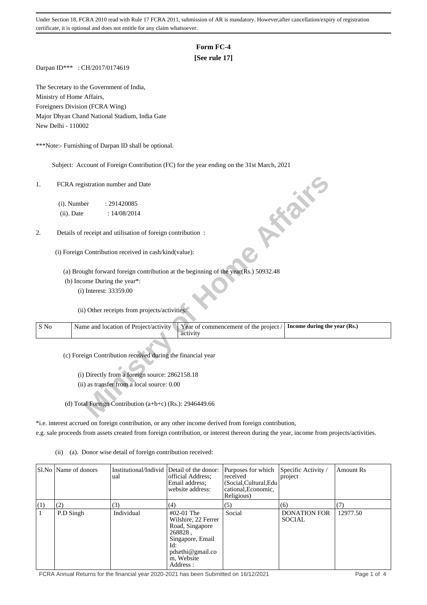## **Form FC-4**

## **[See rule 17]**

Darpan ID\*\*\* : CH/2017/0174619

The Secretary to the Government of India, Ministry of Home Affairs, Foreigners Division (FCRA Wing) Major Dhyan Chand National Stadium, India Gate New Delhi - 110002

\*\*\*Note:- Furnishing of Darpan ID shall be optional.

Subject: Account of Foreign Contribution (FC) for the year ending on the 31st March, 2021

| 1.   | FCRA registration number and Date                                                             | <b>10 % %</b>                                                         |
|------|-----------------------------------------------------------------------------------------------|-----------------------------------------------------------------------|
|      | (i). Number<br>: 291420085                                                                    |                                                                       |
|      | (ii). Date<br>: 14/08/2014                                                                    |                                                                       |
|      |                                                                                               |                                                                       |
| 2.   | Details of receipt and utilisation of foreign contribution :                                  |                                                                       |
|      |                                                                                               |                                                                       |
|      | (i) Foreign Contribution received in cash/kind(value):                                        |                                                                       |
|      | (a) Brought forward foreign contribution at the beginning of the year( $\bar{R}$ s.) 50932.48 |                                                                       |
|      | (b) Income During the year*:                                                                  |                                                                       |
|      | (i) Interest: 33359.00                                                                        |                                                                       |
|      |                                                                                               |                                                                       |
|      | (ii) Other receipts from projects/activities:                                                 |                                                                       |
|      |                                                                                               |                                                                       |
| S No | Name and location of Project/activity<br>activity                                             | Year of commencement of the project /<br>Income during the year (Rs.) |
|      |                                                                                               |                                                                       |
|      | (c) Foreign Contribution received during the financial year                                   |                                                                       |
|      |                                                                                               |                                                                       |
|      | (i) Directly from a foreign source: 2862158.18                                                |                                                                       |
|      | (ii) as transfer from a local source: 0.00                                                    |                                                                       |
|      |                                                                                               |                                                                       |
|      | (d) Total Foreign Contribution (a+b+c) (Rs.): 2946449.66                                      |                                                                       |
|      |                                                                                               |                                                                       |

\*i.e. interest accrued on foreign contribution, or any other income derived from foreign contribution,

e.g. sale proceeds from assets created from foreign contribution, or interest thereon during the year, income from projects/activities.

(ii) (a). Donor wise detail of foreign contribution received:

|     | SI.No   Name of donors | Institutional/Individ Detail of the donor:<br>ual | official Address:<br>Email address:<br>website address:                                                                                        | Purposes for which<br>received<br>(Social, Cultural, Edu<br>cational, Economic,<br>Religious) | Specific Activity /<br>project       | Amount Rs |
|-----|------------------------|---------------------------------------------------|------------------------------------------------------------------------------------------------------------------------------------------------|-----------------------------------------------------------------------------------------------|--------------------------------------|-----------|
| (1) | (2)                    | (3)                                               | (4)                                                                                                                                            | (5)                                                                                           | (6)                                  | (7)       |
|     | P.D Singh              | Individual                                        | $#02-01$ The<br>Wilshire, 22 Ferrer<br>Road, Singapore<br>268828.<br>Singapore, Email<br>Id:<br>$p$ dsethi@gmail.co<br>m, Website<br>Address : | Social                                                                                        | <b>DONATION FOR</b><br><b>SOCIAL</b> | 12977.50  |

FCRA Annual Returns for the financial year 2020-2021 has been Submitted on 16/12/2021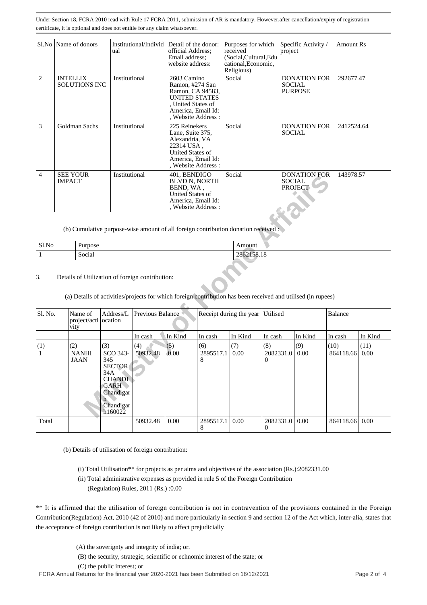|                | Sl.No   Name of donors                  | Institutional/Individ<br>ual | Detail of the donor:<br>official Address;<br>Email address;<br>website address:                                                              | Purposes for which<br>received<br>(Social,Cultural,Edu<br>cational, Economic,<br>Religious) | Specific Activity /<br>project                         | <b>Amount Rs</b> |
|----------------|-----------------------------------------|------------------------------|----------------------------------------------------------------------------------------------------------------------------------------------|---------------------------------------------------------------------------------------------|--------------------------------------------------------|------------------|
| $\overline{2}$ | <b>INTELLIX</b><br><b>SOLUTIONS INC</b> | Institutional                | 2603 Camino<br>Ramon, #274 San<br>Ramon, CA 94583,<br><b>UNITED STATES</b><br>, United States of<br>America, Email Id:<br>, Website Address: | Social                                                                                      | <b>DONATION FOR</b><br><b>SOCIAL</b><br><b>PURPOSE</b> | 292677.47        |
| 3              | Goldman Sachs                           | Institutional                | 225 Reinekers<br>Lane, Suite 375,<br>Alexandria, VA<br>22314 USA,<br>United States of<br>America, Email Id:<br>, Website Address :           | Social                                                                                      | <b>DONATION FOR</b><br><b>SOCIAL</b>                   | 2412524.64       |
| $\overline{4}$ | <b>SEE YOUR</b><br><b>IMPACT</b>        | Institutional                | 401, BENDIGO<br><b>BLVD N, NORTH</b><br>BEND, WA.<br><b>United States of</b><br>America, Email Id:<br>, Website Address:                     | Social                                                                                      | <b>DONATION FOR</b><br><b>SOCIAL</b><br><b>PROJECT</b> | 143978.57        |

| Sl.No | $\mathbf{r}$<br>Purpose | --------<br>Amount |
|-------|-------------------------|--------------------|
|       | $\sim$ $\sim$<br>Social | 2862158.18         |

| ┭            | <b>DEL TOON</b><br><b>IMPACT</b>                                                                                                                                | msututuonai                                                                                                  |                  | <b>TUI, DEINDIUU</b><br><b>BLVD N, NORTH</b><br>BEND, WA,<br>United States of<br>America, Email Id:<br>, Website Address: |                | povial                  |                       | DOIVATION L'ON<br><b>SOCIAL</b><br><b>PROJECT</b> | $1 + 3710.31$  |         |  |  |
|--------------|-----------------------------------------------------------------------------------------------------------------------------------------------------------------|--------------------------------------------------------------------------------------------------------------|------------------|---------------------------------------------------------------------------------------------------------------------------|----------------|-------------------------|-----------------------|---------------------------------------------------|----------------|---------|--|--|
|              |                                                                                                                                                                 | (b) Cumulative purpose-wise amount of all foreign contribution donation received :                           |                  |                                                                                                                           |                |                         |                       |                                                   |                |         |  |  |
| Sl.No        | Purpose                                                                                                                                                         |                                                                                                              |                  |                                                                                                                           |                | Amount                  |                       |                                                   |                |         |  |  |
| $\mathbf{1}$ | Social                                                                                                                                                          |                                                                                                              |                  |                                                                                                                           |                | 2862158.18              |                       |                                                   |                |         |  |  |
| 3.           | Details of Utilization of foreign contribution:<br>(a) Details of activities/projects for which foreign contribution has been received and utilised (in rupees) |                                                                                                              |                  |                                                                                                                           |                |                         |                       |                                                   |                |         |  |  |
| Sl. No.      | Name of<br>vity                                                                                                                                                 | Address/L<br>project/acti ocation                                                                            | Previous Balance |                                                                                                                           |                | Receipt during the year | Utilised              |                                                   | <b>Balance</b> |         |  |  |
|              |                                                                                                                                                                 |                                                                                                              | In cash          | In Kind                                                                                                                   | In cash        | In Kind                 | In cash               | In Kind                                           | In cash        | In Kind |  |  |
| (1)          | (2)                                                                                                                                                             | (3)                                                                                                          | (4)              | (5)                                                                                                                       | (6)            | (7)                     | (8)                   | (9)                                               | (10)           | (11)    |  |  |
| $\mathbf{1}$ | <b>NANHI</b><br><b>JAAN</b>                                                                                                                                     | SCO 343-<br>345<br><b>SECTOR</b><br>34A<br><b>CHANDI</b><br><b>GARH</b><br>Chandigar<br>Chandigar<br>h160022 | 50932.48         | 0.00                                                                                                                      | 2895517.1<br>8 | 0.00                    | 2082331.0<br>$\Omega$ | 0.00                                              | 864118.66      | 0.00    |  |  |
|              |                                                                                                                                                                 |                                                                                                              |                  |                                                                                                                           |                |                         |                       |                                                   |                |         |  |  |

(b) Details of utilisation of foreign contribution:

(i) Total Utilisation\*\* for projects as per aims and objectives of the association (Rs.):2082331.00

 (ii) Total administrative expenses as provided in rule 5 of the Foreign Contribution (Regulation) Rules, 2011 (Rs.) :0.00

\*\* It is affirmed that the utilisation of foreign contribution is not in contravention of the provisions contained in the Foreign Contribution(Regulation) Act, 2010 (42 of 2010) and more particularly in section 9 and section 12 of the Act which, inter-alia, states that the acceptance of foreign contribution is not likely to affect prejudicially

- (A) the soverignty and integrity of india; or.
- (B) the security, strategic, scientific or echnomic interest of the state; or

(C) the public interest; or

FCRA Annual Returns for the financial year 2020-2021 has been Submitted on 16/12/2021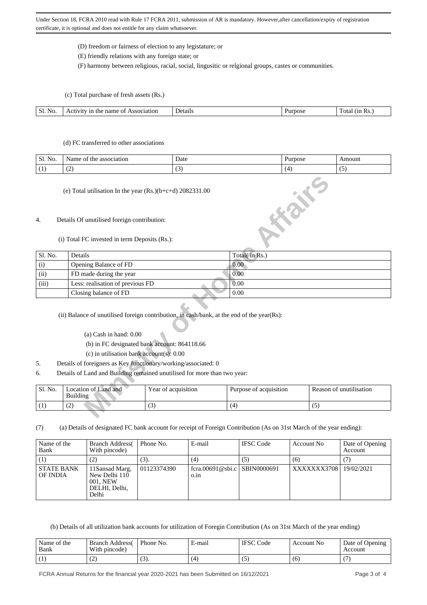- (D) freedom or fairness of election to any legistature; or
- (E) friendly relations with any foreign state; or

(F) harmony between religious, racial, social, lingusitic or relgional groups, castes or communities.

(c) Total purchase of fresh assets (Rs.)

| SI.<br>INO. | 21at10n<br>nat<br>⊶<br>ne<br>$^{\prime}$<br>$\sim$<br>. | Jet<br>≂тапь<br>. | - - - | Ota<br>. R C<br>.<br>. |
|-------------|---------------------------------------------------------|-------------------|-------|------------------------|
|             |                                                         |                   |       |                        |

#### (d) FC transferred to other associations

| $\mathbf{r}$<br>Sl.<br>NO. | association<br>Name<br>the<br>' OI | Date                     | rpose<br>uı | Amount   |
|----------------------------|------------------------------------|--------------------------|-------------|----------|
|                            | $\overline{\phantom{a}}$<br>. .    | $\overline{\phantom{a}}$ | - 14        | . .<br>ີ |

### 4. Details Of unutilised foreign contribution:

#### (i) Total FC invested in term Deposits (Rs.):

|                  | (e) Total utilisation In the year $(Rs.)(b+c+d)$ 2082331.00    |                                                                                            | <b>HIGHE</b>           |                         |  |
|------------------|----------------------------------------------------------------|--------------------------------------------------------------------------------------------|------------------------|-------------------------|--|
| $\overline{4}$ . | Details Of unutilised foreign contribution:                    |                                                                                            |                        |                         |  |
|                  | (i) Total FC invested in term Deposits (Rs.):                  |                                                                                            |                        |                         |  |
| Sl. No.          | Details                                                        |                                                                                            | Total(in Rs.)          |                         |  |
| (i)              | Opening Balance of FD                                          |                                                                                            | 0.00                   |                         |  |
| (ii)             | FD made during the year                                        |                                                                                            | 0.00                   |                         |  |
| (iii)            | Less: realisation of previous FD                               |                                                                                            | 0.00                   |                         |  |
|                  | Closing balance of FD                                          |                                                                                            | 0.00                   |                         |  |
|                  |                                                                | (ii) Balance of unutilised foreign contribution, in cash/bank, at the end of the year(Rs): |                        |                         |  |
|                  | $(a)$ Cash in hand: $0.00$                                     |                                                                                            |                        |                         |  |
|                  |                                                                | (b) in FC designated bank account: 864118.66                                               |                        |                         |  |
|                  | (c) in utilisation bank $account(s)$ : 0.00                    |                                                                                            |                        |                         |  |
| 5.               | Details of foreigners as Key functionary/working/associated: 0 |                                                                                            |                        |                         |  |
| 6.               |                                                                | Details of Land and Building remained unutilised for more than two year:                   |                        |                         |  |
| Sl. No.          | Location of Land and<br><b>Building</b>                        | Year of acquisition                                                                        | Purpose of acquisition | Reason of unutilisation |  |
| (1)              | (2)                                                            | (3)                                                                                        | (4)                    | (5)                     |  |
|                  |                                                                |                                                                                            |                        |                         |  |

- (c) in utilisation bank account(s): 0.00
- 5. Details of foreigners as Key functionary/working/associated: 0
- 6. Details of Land and Building remained unutilised for more than two year:

| Sl. No. | Location of Land and<br>Building | Year of acquisition | Purpose of acquisition | Reason of unutilisation |
|---------|----------------------------------|---------------------|------------------------|-------------------------|
|         | $\sim$                           | <b>V</b>            |                        |                         |

(7) (a) Details of designated FC bank account for receipt of Foreign Contribution (As on 31st March of the year ending):

| Name of the<br>Bank           | <b>Branch Address</b><br>With pincode)                                 | Phone No.   | E-mail                               | <b>IFSC</b> Code | Account No  | Date of Opening<br>Account |
|-------------------------------|------------------------------------------------------------------------|-------------|--------------------------------------|------------------|-------------|----------------------------|
|                               |                                                                        | (3).        | (4)                                  | (5)              | (6)         |                            |
| <b>STATE BANK</b><br>OF INDIA | 11 Sansad Marg,<br>New Delhi 110<br>001. NEW<br>DELHI, Delhi,<br>Delhi | 01123374390 | fcra.00691@sbi.c SBIN0000691<br>0.1n |                  | XXXXXXX3708 | 19/02/2021                 |

(b) Details of all utilization bank accounts for utilization of Foregin Contribution (As on 31st March of the year ending)

| Name of the<br>Bank | <b>Branch Address</b><br>With pincode) | Phone No. | E-mail | <b>IFSC</b> Code | Account No | Date of Opening<br>Account |
|---------------------|----------------------------------------|-----------|--------|------------------|------------|----------------------------|
|                     | ے                                      | UJ.       | (4     |                  | (6)        |                            |